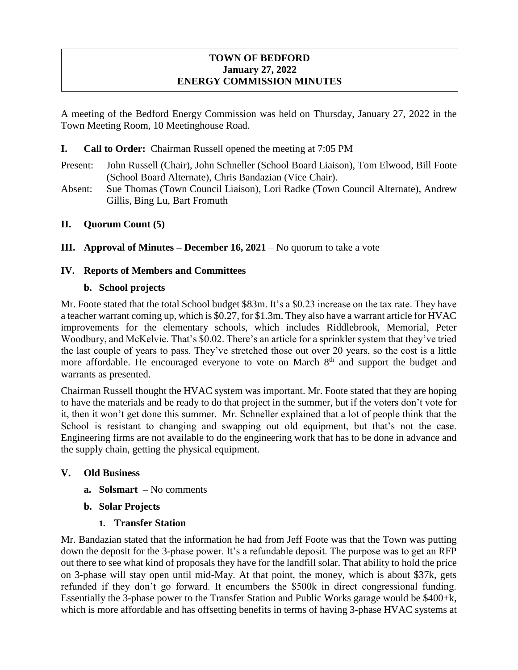## **TOWN OF BEDFORD January 27, 2022 ENERGY COMMISSION MINUTES**

A meeting of the Bedford Energy Commission was held on Thursday, January 27, 2022 in the Town Meeting Room, 10 Meetinghouse Road.

- **I. Call to Order:** Chairman Russell opened the meeting at 7:05 PM
- Present: John Russell (Chair), John Schneller (School Board Liaison), Tom Elwood, Bill Foote (School Board Alternate), Chris Bandazian (Vice Chair).
- Absent: Sue Thomas (Town Council Liaison), Lori Radke (Town Council Alternate), Andrew Gillis, Bing Lu, Bart Fromuth
- **II. Quorum Count (5)**
- **III. Approval of Minutes – December 16, 2021** No quorum to take a vote

# **IV. Reports of Members and Committees**

## **b. School projects**

Mr. Foote stated that the total School budget \$83m. It's a \$0.23 increase on the tax rate. They have a teacher warrant coming up, which is \$0.27, for \$1.3m. They also have a warrant article for HVAC improvements for the elementary schools, which includes Riddlebrook, Memorial, Peter Woodbury, and McKelvie. That's \$0.02. There's an article for a sprinkler system that they've tried the last couple of years to pass. They've stretched those out over 20 years, so the cost is a little more affordable. He encouraged everyone to vote on March 8<sup>th</sup> and support the budget and warrants as presented.

Chairman Russell thought the HVAC system was important. Mr. Foote stated that they are hoping to have the materials and be ready to do that project in the summer, but if the voters don't vote for it, then it won't get done this summer. Mr. Schneller explained that a lot of people think that the School is resistant to changing and swapping out old equipment, but that's not the case. Engineering firms are not available to do the engineering work that has to be done in advance and the supply chain, getting the physical equipment.

## **V. Old Business**

- **a. Solsmart –** No comments
- **b. Solar Projects**
	- **1. Transfer Station**

Mr. Bandazian stated that the information he had from Jeff Foote was that the Town was putting down the deposit for the 3-phase power. It's a refundable deposit. The purpose was to get an RFP out there to see what kind of proposals they have for the landfill solar. That ability to hold the price on 3-phase will stay open until mid-May. At that point, the money, which is about \$37k, gets refunded if they don't go forward. It encumbers the \$500k in direct congressional funding. Essentially the 3-phase power to the Transfer Station and Public Works garage would be \$400+k, which is more affordable and has offsetting benefits in terms of having 3-phase HVAC systems at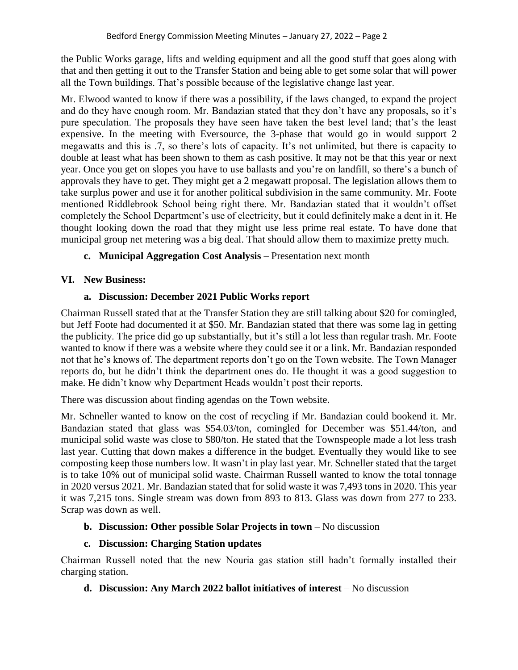the Public Works garage, lifts and welding equipment and all the good stuff that goes along with that and then getting it out to the Transfer Station and being able to get some solar that will power all the Town buildings. That's possible because of the legislative change last year.

Mr. Elwood wanted to know if there was a possibility, if the laws changed, to expand the project and do they have enough room. Mr. Bandazian stated that they don't have any proposals, so it's pure speculation. The proposals they have seen have taken the best level land; that's the least expensive. In the meeting with Eversource, the 3-phase that would go in would support 2 megawatts and this is .7, so there's lots of capacity. It's not unlimited, but there is capacity to double at least what has been shown to them as cash positive. It may not be that this year or next year. Once you get on slopes you have to use ballasts and you're on landfill, so there's a bunch of approvals they have to get. They might get a 2 megawatt proposal. The legislation allows them to take surplus power and use it for another political subdivision in the same community. Mr. Foote mentioned Riddlebrook School being right there. Mr. Bandazian stated that it wouldn't offset completely the School Department's use of electricity, but it could definitely make a dent in it. He thought looking down the road that they might use less prime real estate. To have done that municipal group net metering was a big deal. That should allow them to maximize pretty much.

# **c. Municipal Aggregation Cost Analysis** – Presentation next month

# **VI. New Business:**

# **a. Discussion: December 2021 Public Works report**

Chairman Russell stated that at the Transfer Station they are still talking about \$20 for comingled, but Jeff Foote had documented it at \$50. Mr. Bandazian stated that there was some lag in getting the publicity. The price did go up substantially, but it's still a lot less than regular trash. Mr. Foote wanted to know if there was a website where they could see it or a link. Mr. Bandazian responded not that he's knows of. The department reports don't go on the Town website. The Town Manager reports do, but he didn't think the department ones do. He thought it was a good suggestion to make. He didn't know why Department Heads wouldn't post their reports.

There was discussion about finding agendas on the Town website.

Mr. Schneller wanted to know on the cost of recycling if Mr. Bandazian could bookend it. Mr. Bandazian stated that glass was \$54.03/ton, comingled for December was \$51.44/ton, and municipal solid waste was close to \$80/ton. He stated that the Townspeople made a lot less trash last year. Cutting that down makes a difference in the budget. Eventually they would like to see composting keep those numbers low. It wasn't in play last year. Mr. Schneller stated that the target is to take 10% out of municipal solid waste. Chairman Russell wanted to know the total tonnage in 2020 versus 2021. Mr. Bandazian stated that for solid waste it was 7,493 tons in 2020. This year it was 7,215 tons. Single stream was down from 893 to 813. Glass was down from 277 to 233. Scrap was down as well.

## **b. Discussion: Other possible Solar Projects in town** – No discussion

# **c. Discussion: Charging Station updates**

Chairman Russell noted that the new Nouria gas station still hadn't formally installed their charging station.

# **d. Discussion: Any March 2022 ballot initiatives of interest** – No discussion